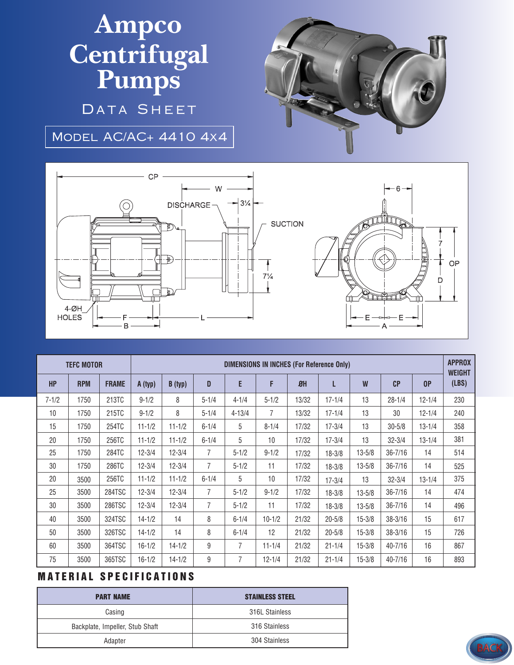## **Ampco Centrifugal Pumps**

DATA SHEET

Model AC/AC+ 4410 4x4





| <b>TEFC MOTOR</b> |            |              | <b>DIMENSIONS IN INCHES (For Reference Only)</b> |            |                |            |            |                  |            |            |             |                | <b>APPROX</b><br><b>WEIGHT</b> |
|-------------------|------------|--------------|--------------------------------------------------|------------|----------------|------------|------------|------------------|------------|------------|-------------|----------------|--------------------------------|
| <b>HP</b>         | <b>RPM</b> | <b>FRAME</b> | A (typ)                                          | B(typ)     | $\mathbf{D}$   | E          | F          | $\mathfrak{B}$ H | L          | W          | CP          | 0 <sup>P</sup> | (LBS)                          |
| $7 - 1/2$         | 1750       | 213TC        | $9 - 1/2$                                        | 8          | $5 - 1/4$      | $4 - 1/4$  | $5 - 1/2$  | 13/32            | $17 - 1/4$ | 13         | $28 - 1/4$  | $12 - 1/4$     | 230                            |
| 10                | 1750       | 215TC        | $9 - 1/2$                                        | 8          | $5 - 1/4$      | $4 - 13/4$ | 7          | 13/32            | $17 - 1/4$ | 13         | 30          | $12 - 1/4$     | 240                            |
| 15                | 1750       | 254TC        | $11 - 1/2$                                       | $11 - 1/2$ | $6 - 1/4$      | 5          | $8 - 1/4$  | 17/32            | $17 - 3/4$ | 13         | $30 - 5/8$  | $13 - 1/4$     | 358                            |
| 20                | 1750       | 256TC        | $11 - 1/2$                                       | $11 - 1/2$ | $6 - 1/4$      | 5          | 10         | 17/32            | $17 - 3/4$ | 13         | $32 - 3/4$  | $13 - 1/4$     | 381                            |
| 25                | 1750       | 284TC        | $12 - 3/4$                                       | $12 - 3/4$ | $\overline{7}$ | $5 - 1/2$  | $9 - 1/2$  | 17/32            | $18 - 3/8$ | $13 - 5/8$ | $36 - 7/16$ | 14             | 514                            |
| 30                | 1750       | 286TC        | $12 - 3/4$                                       | $12 - 3/4$ | $\overline{7}$ | $5 - 1/2$  | 11         | 17/32            | $18 - 3/8$ | $13 - 5/8$ | $36 - 7/16$ | 14             | 525                            |
| 20                | 3500       | 256TC        | $11 - 1/2$                                       | $11 - 1/2$ | $6 - 1/4$      | 5          | 10         | 17/32            | $17 - 3/4$ | 13         | $32 - 3/4$  | $13 - 1/4$     | 375                            |
| 25                | 3500       | 284TSC       | $12 - 3/4$                                       | $12 - 3/4$ | 7              | $5 - 1/2$  | $9 - 1/2$  | 17/32            | $18 - 3/8$ | $13 - 5/8$ | $36 - 7/16$ | 14             | 474                            |
| 30                | 3500       | 286TSC       | $12 - 3/4$                                       | $12 - 3/4$ | 7              | $5 - 1/2$  | 11         | 17/32            | $18 - 3/8$ | $13 - 5/8$ | $36 - 7/16$ | 14             | 496                            |
| 40                | 3500       | 324TSC       | $14 - 1/2$                                       | 14         | 8              | $6 - 1/4$  | $10 - 1/2$ | 21/32            | $20 - 5/8$ | $15 - 3/8$ | $38 - 3/16$ | 15             | 617                            |
| 50                | 3500       | 326TSC       | $14 - 1/2$                                       | 14         | 8              | $6 - 1/4$  | 12         | 21/32            | $20 - 5/8$ | $15 - 3/8$ | $38 - 3/16$ | 15             | 726                            |
| 60                | 3500       | 364TSC       | $16 - 1/2$                                       | $14 - 1/2$ | 9              | 7          | $11 - 1/4$ | 21/32            | $21 - 1/4$ | $15 - 3/8$ | 40-7/16     | 16             | 867                            |
| 75                | 3500       | 365TSC       | $16 - 1/2$                                       | $14 - 1/2$ | 9              | 7          | $12 - 1/4$ | 21/32            | $21 - 1/4$ | $15 - 3/8$ | 40-7/16     | 16             | 893                            |

## **MATERIAL SPECIFICATIONS**

| <b>PART NAME</b>                | <b>STAINLESS STEEL</b> |  |  |  |  |
|---------------------------------|------------------------|--|--|--|--|
| Casing                          | 316L Stainless         |  |  |  |  |
| Backplate, Impeller, Stub Shaft | 316 Stainless          |  |  |  |  |
| Adapter                         | 304 Stainless          |  |  |  |  |